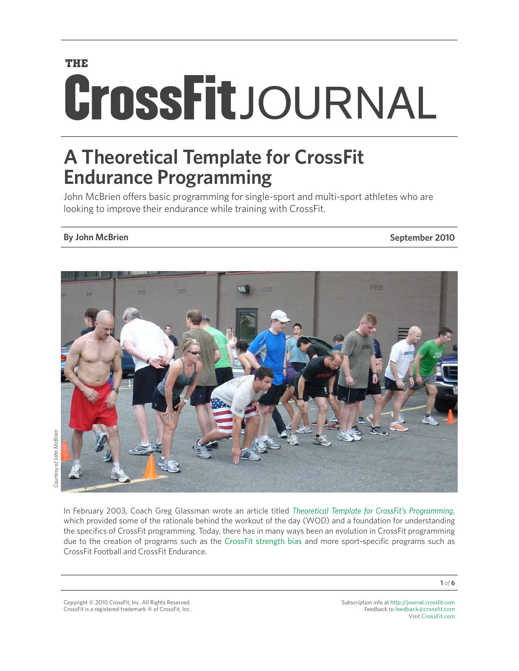## **THE**

# **CrossFit**JOURNAL

# **A Theoretical Template for CrossFit Endurance Programming**

John McBrien offers basic programming for single-sport and multi-sport athletes who are looking to improve their endurance while training with CrossFit.

### **By John McBrien September 2010**



In February 2003, Coach Greg Glassman wrote an article titled *[Theoretical Template for CrossFit's Programming](http://journal.crossfit.com/2003/02/theoretical-template-for-cross.tpl)*, which provided some of the rationale behind the workout of the day (WOD) and a foundation for understanding the specifics of CrossFit programming. Today, there has in many ways been an evolution in CrossFit programming due to the creation of programs such as the [CrossFit strength bias](http://journal.crossfit.com/2009/02/crossfit-strength-bias.tpl) and more sport-specific programs such as CrossFit Football and CrossFit Endurance.

Subscription info at <http://journal.crossfit.com> Feedback to [feedback@crossfit.com](mailto:feedback@crossfit.com) Visit [CrossFit.com](http://www.crossfit.com)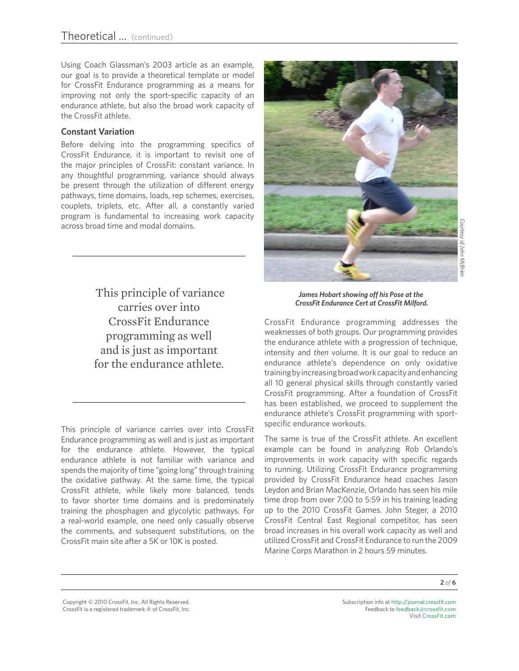Using Coach Glassman's 2003 article as an example, our goal is to provide a theoretical template or model for CrossFit Endurance programming as a means for improving not only the sport-specific capacity of an endurance athlete, but also the broad work capacity of the CrossFit athlete.

#### **Constant Variation**

Before delving into the programming specifics of CrossFit Endurance, it is important to revisit one of the major principles of CrossFit: constant variance. In any thoughtful programming, variance should always be present through the utilization of different energy pathways, time domains, loads, rep schemes, exercises, couplets, triplets, etc. After all, a constantly varied program is fundamental to increasing work capacity across broad time and modal domains.

> This principle of variance carries over into CrossFit Endurance programming as well and is just as important for the endurance athlete.

This principle of variance carries over into CrossFit Endurance programming as well and is just as important for the endurance athlete. However, the typical endurance athlete is not familiar with variance and spends the majority of time "going long" through training the oxidative pathway. At the same time, the typical CrossFit athlete, while likely more balanced, tends to favor shorter time domains and is predominately training the phosphagen and glycolytic pathways. For a real-world example, one need only casually observe the comments, and subsequent substitutions, on the CrossFit main site after a 5K or 10K is posted.



*James Hobart showing off his Pose at the CrossFit Endurance Cert at CrossFit Milford.*

CrossFit Endurance programming addresses the weaknesses of both groups. Our programming provides the endurance athlete with a progression of technique, intensity and *then* volume. It is our goal to reduce an endurance athlete's dependence on only oxidative training by increasing broad work capacity and enhancing all 10 general physical skills through constantly varied CrossFit programming. After a foundation of CrossFit has been established, we proceed to supplement the endurance athlete's CrossFit programming with sportspecific endurance workouts.

The same is true of the CrossFit athlete. An excellent example can be found in analyzing Rob Orlando's improvements in work capacity with specific regards to running. Utilizing CrossFit Endurance programming provided by CrossFit Endurance head coaches Jason Leydon and Brian MacKenzie, Orlando has seen his mile time drop from over 7:00 to 5:59 in his training leading up to the 2010 CrossFit Games. John Steger, a 2010 CrossFit Central East Regional competitor, has seen broad increases in his overall work capacity as well and utilized CrossFit and CrossFit Endurance to run the 2009 Marine Corps Marathon in 2 hours 59 minutes.

Copyright © 2010 CrossFit, Inc. All Rights Reserved. CrossFit is a registered trademark ‰ of CrossFit, Inc. Subscription info at <http://journal.crossfit.com> Feedback to [feedback@crossfit.com](mailto:feedback@crossfit.com) Visit [CrossFit.com](http://www.westside-barbell.com/)

**2** *of* **6**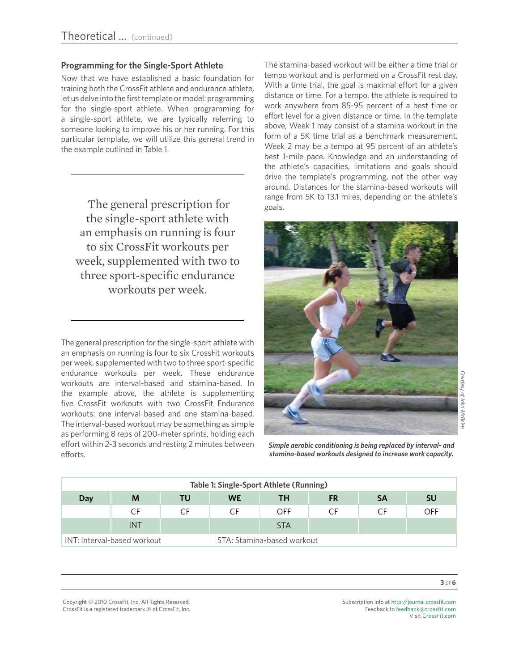#### **Programming for the Single-Sport Athlete**

Now that we have established a basic foundation for training both the CrossFit athlete and endurance athlete, let us delve into the first template or model: programming for the single-sport athlete. When programming for a single-sport athlete, we are typically referring to someone looking to improve his or her running. For this particular template, we will utilize this general trend in the example outlined in Table 1.

The general prescription for  $_{\text{goals}}$ . the single-sport athlete with an emphasis on running is four to six CrossFit workouts per week, supplemented with two to three sport-specific endurance workouts per week.

The general prescription for the single-sport athlete with an emphasis on running is four to six CrossFit workouts per week, supplemented with two to three sport-specific endurance workouts per week. These endurance workouts are interval-based and stamina-based. In the example above, the athlete is supplementing five CrossFit workouts with two CrossFit Endurance workouts: one interval-based and one stamina-based. The interval-based workout may be something as simple as performing 8 reps of 200-meter sprints, holding each effort within 2-3 seconds and resting 2 minutes between efforts.

The stamina-based workout will be either a time trial or tempo workout and is performed on a CrossFit rest day. With a time trial, the goal is maximal effort for a given distance or time. For a tempo, the athlete is required to work anywhere from 85-95 percent of a best time or effort level for a given distance or time. In the template above, Week 1 may consist of a stamina workout in the form of a 5K time trial as a benchmark measurement. Week 2 may be a tempo at 95 percent of an athlete's best 1-mile pace. Knowledge and an understanding of the athlete's capacities, limitations and goals should drive the template's programming, not the other way around. Distances for the stamina-based workouts will range from 5K to 13.1 miles, depending on the athlete's



*Simple aerobic conditioning is being replaced by interval- and stamina-based workouts designed to increase work capacity.*

| Table 1: Single-Sport Athlete (Running) |            |    |                            |            |           |           |           |  |  |  |  |
|-----------------------------------------|------------|----|----------------------------|------------|-----------|-----------|-----------|--|--|--|--|
| Day                                     | M          | TU | <b>WE</b>                  | ΤН         | <b>FR</b> | <b>SA</b> | <b>SU</b> |  |  |  |  |
|                                         | CF         | CF | C.F                        | OFF        | СF        |           | OFF       |  |  |  |  |
|                                         | <b>INT</b> |    |                            | <b>STA</b> |           |           |           |  |  |  |  |
| INT: Interval-based workout             |            |    | STA: Stamina-based workout |            |           |           |           |  |  |  |  |

Copyright © 2010 CrossFit, Inc. All Rights Reserved. CrossFit is a registered trademark ‰ of CrossFit, Inc. Subscription info at <http://journal.crossfit.com> Feedback to [feedback@crossfit.com](mailto:feedback@crossfit.com) Visit [CrossFit.com](http://www.westside-barbell.com/)

**3** *of* **6**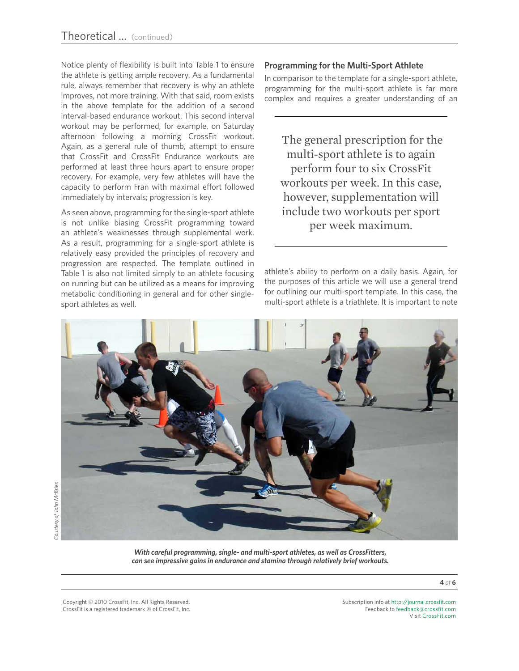Notice plenty of flexibility is built into Table 1 to ensure the athlete is getting ample recovery. As a fundamental rule, always remember that recovery is why an athlete improves, not more training. With that said, room exists in the above template for the addition of a second interval-based endurance workout. This second interval workout may be performed, for example, on Saturday afternoon following a morning CrossFit workout. Again, as a general rule of thumb, attempt to ensure that CrossFit and CrossFit Endurance workouts are performed at least three hours apart to ensure proper recovery. For example, very few athletes will have the capacity to perform Fran with maximal effort followed immediately by intervals; progression is key.

As seen above, programming for the single-sport athlete is not unlike biasing CrossFit programming toward an athlete's weaknesses through supplemental work. As a result, programming for a single-sport athlete is relatively easy provided the principles of recovery and progression are respected. The template outlined in Table 1 is also not limited simply to an athlete focusing on running but can be utilized as a means for improving metabolic conditioning in general and for other singlesport athletes as well.

#### **Programming for the Multi-Sport Athlete**

In comparison to the template for a single-sport athlete, programming for the multi-sport athlete is far more complex and requires a greater understanding of an

 The general prescription for the multi-sport athlete is to again perform four to six CrossFit workouts per week. In this case, however, supplementation will include two workouts per sport per week maximum.

athlete's ability to perform on a daily basis. Again, for the purposes of this article we will use a general trend for outlining our multi-sport template. In this case, the multi-sport athlete is a triathlete. It is important to note



*With careful programming, single- and multi-sport athletes, as well as CrossFitters, can see impressive gains in endurance and stamina through relatively brief workouts.* 

**4** *of* **6**

Copyright © 2010 CrossFit, Inc. All Rights Reserved. CrossFit is a registered trademark ‰ of CrossFit, Inc. Subscription info at <http://journal.crossfit.com> Feedback to [feedback@crossfit.com](mailto:feedback@crossfit.com) Visit [CrossFit.com](http://www.westside-barbell.com/)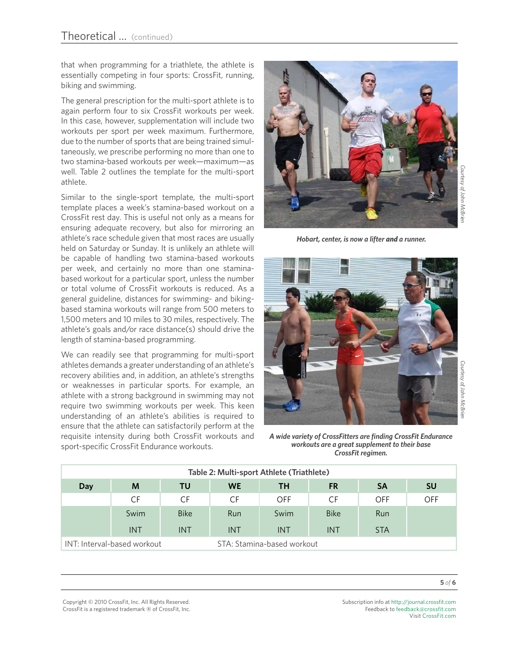that when programming for a triathlete, the athlete is essentially competing in four sports: CrossFit, running, biking and swimming.

The general prescription for the multi-sport athlete is to again perform four to six CrossFit workouts per week. In this case, however, supplementation will include two workouts per sport per week maximum. Furthermore, due to the number of sports that are being trained simultaneously, we prescribe performing no more than one to two stamina-based workouts per week—maximum—as well. Table 2 outlines the template for the multi-sport athlete.

Similar to the single-sport template, the multi-sport template places a week's stamina-based workout on a CrossFit rest day. This is useful not only as a means for ensuring adequate recovery, but also for mirroring an athlete's race schedule given that most races are usually held on Saturday or Sunday. It is unlikely an athlete will be capable of handling two stamina-based workouts per week, and certainly no more than one staminabased workout for a particular sport, unless the number or total volume of CrossFit workouts is reduced. As a general guideline, distances for swimming- and bikingbased stamina workouts will range from 500 meters to 1,500 meters and 10 miles to 30 miles, respectively. The athlete's goals and/or race distance(s) should drive the length of stamina-based programming.

We can readily see that programming for multi-sport athletes demands a greater understanding of an athlete's recovery abilities and, in addition, an athlete's strengths or weaknesses in particular sports. For example, an athlete with a strong background in swimming may not require two swimming workouts per week. This keen understanding of an athlete's abilities is required to ensure that the athlete can satisfactorily perform at the requisite intensity during both CrossFit workouts and sport-specific CrossFit Endurance workouts.



*Hobart, center, is now a lifter and a runner.*



*A wide variety of CrossFitters are finding CrossFit Endurance workouts are a great supplement to their base CrossFit regimen.*

| Table 2: Multi-sport Athlete (Triathlete) |                             |             |                            |            |             |            |           |  |  |  |  |
|-------------------------------------------|-----------------------------|-------------|----------------------------|------------|-------------|------------|-----------|--|--|--|--|
| Day                                       | M                           | TU          | <b>WE</b>                  | TH         | <b>FR</b>   | <b>SA</b>  | <b>SU</b> |  |  |  |  |
|                                           | CF                          | CF          | CF                         | OFF        | CF          | OFF        | OFF       |  |  |  |  |
|                                           | Swim                        | <b>Bike</b> | Run                        | Swim       | <b>Bike</b> | Run        |           |  |  |  |  |
|                                           | <b>INT</b>                  | <b>INT</b>  | <b>INT</b>                 | <b>INT</b> | <b>INT</b>  | <b>STA</b> |           |  |  |  |  |
|                                           | INT: Interval-based workout |             | STA: Stamina-based workout |            |             |            |           |  |  |  |  |

Subscription info at <http://journal.crossfit.com> Feedback to [feedback@crossfit.com](mailto:feedback@crossfit.com) Visit [CrossFit.com](http://www.westside-barbell.com/)